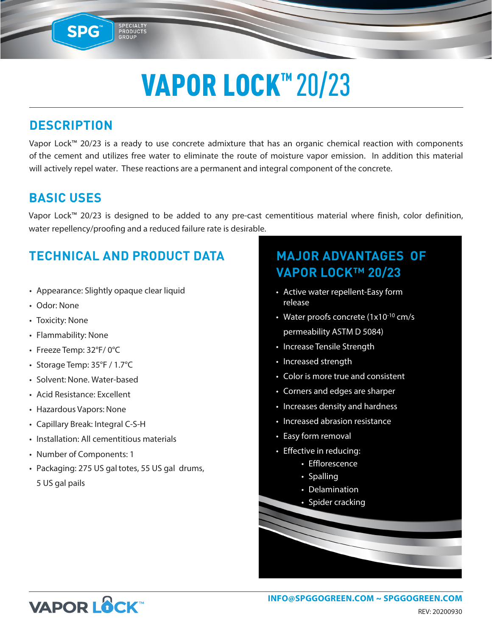# VAPOR LOCK<sup>™</sup>20/23

### **DESCRIPTION**

**SPG™** 

SPECIALIT

Vapor Lock™ 20/23 is a ready to use concrete admixture that has an organic chemical reaction with components of the cement and utilizes free water to eliminate the route of moisture vapor emission. In addition this material will actively repel water. These reactions are a permanent and integral component of the concrete.

### **BASIC USES**

Vapor Lock™ 20/23 is designed to be added to any pre-cast cementitious material where finish, color definition, water repellency/proofing and a reduced failure rate is desirable.

## **TECHNICAL AND PRODUCT DATA**

- Appearance: Slightly opaque clear liquid
- Odor: None
- Toxicity: None
- Flammability: None
- Freeze Temp: 32°F/ 0°C
- Storage Temp: 35°F / 1.7°C
- Solvent: None. Water-based
- Acid Resistance: Excellent
- Hazardous Vapors: None
- Capillary Break: Integral C-S-H
- Installation: All cementitious materials
- Number of Components: 1
- Packaging: 275 US gal totes, 55 US gal drums, 5 US gal pails

### **MAJOR ADVANTAGES OF VAPOR LOCK™ 20/23**

- Active water repellent-Easy form release
- Water proofs concrete (1x10<sup>-10</sup> cm/s permeability ASTM D 5084)
- Increase Tensile Strength
- Increased strength
- Color is more true and consistent
- Corners and edges are sharper
- Increases density and hardness
- Increased abrasion resistance
- Easy form removal
- Effective in reducing:
	- Efflorescence
	- Spalling
	- Delamination
	- Spider cracking



REV: 20200930 **INFO@SPGGOGREEN.COM ~ [SPGGOGREEN.COM](https://spggogreen.com)**